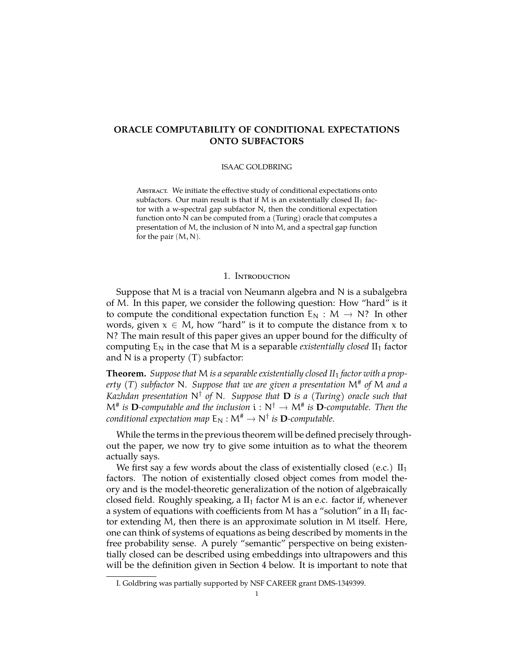# **ORACLE COMPUTABILITY OF CONDITIONAL EXPECTATIONS ONTO SUBFACTORS**

#### ISAAC GOLDBRING

Abstract. We initiate the effective study of conditional expectations onto subfactors. Our main result is that if  $M$  is an existentially closed  $II_1$  factor with a w-spectral gap subfactor N, then the conditional expectation function onto N can be computed from a (Turing) oracle that computes a presentation of M, the inclusion of N into M, and a spectral gap function for the pair  $(M, N)$ .

## 1. Introduction

Suppose that M is a tracial von Neumann algebra and N is a subalgebra of M. In this paper, we consider the following question: How "hard" is it to compute the conditional expectation function  $E_N : M \to N$ ? In other words, given  $x \in M$ , how "hard" is it to compute the distance from x to N? The main result of this paper gives an upper bound for the difficulty of computing  $E_N$  in the case that M is a separable *existentially closed*  $II_1$  factor and  $N$  is a property  $(T)$  subfactor:

**Theorem.** *Suppose that* M *is a separable existentially closed II*<sup>1</sup> *factor with a property (T) subfactor* N*. Suppose that we are given a presentation* M# *of* M *and a Kazhdan presentation* N† *of* N*. Suppose that* **D** *is a (Turing) oracle such that*  $M^{\#}$  is **D**-computable and the inclusion  $i : N^{\dagger} \to M^{\#}$  is **D**-computable. Then the *conditional expectation map*  $E_N : M^{\#} \to N^{\dagger}$  *is*  $D$ *-computable.* 

While the terms in the previous theorem will be defined precisely throughout the paper, we now try to give some intuition as to what the theorem actually says.

We first say a few words about the class of existentially closed (e.c.)  $II_1$ factors. The notion of existentially closed object comes from model theory and is the model-theoretic generalization of the notion of algebraically closed field. Roughly speaking, a  $II_1$  factor M is an e.c. factor if, whenever a system of equations with coefficients from M has a "solution" in a  $II_1$  factor extending M, then there is an approximate solution in M itself. Here, one can think of systems of equations as being described by moments in the free probability sense. A purely "semantic" perspective on being existentially closed can be described using embeddings into ultrapowers and this will be the definition given in Section 4 below. It is important to note that

I. Goldbring was partially supported by NSF CAREER grant DMS-1349399.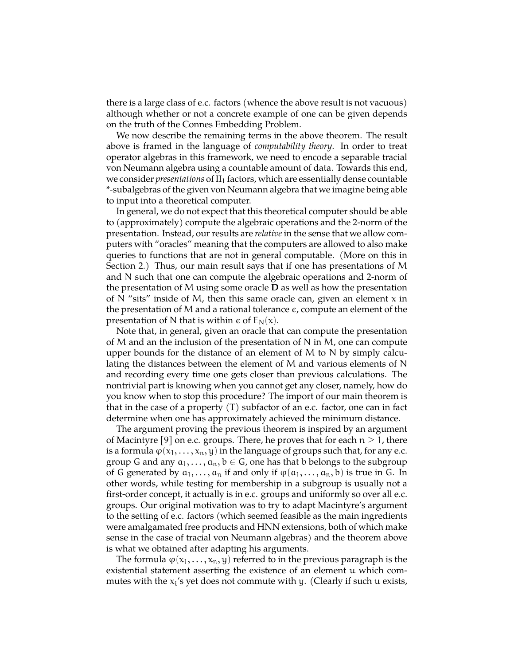there is a large class of e.c. factors (whence the above result is not vacuous) although whether or not a concrete example of one can be given depends on the truth of the Connes Embedding Problem.

We now describe the remaining terms in the above theorem. The result above is framed in the language of *computability theory*. In order to treat operator algebras in this framework, we need to encode a separable tracial von Neumann algebra using a countable amount of data. Towards this end, we consider *presentations* of  $II_1$  factors, which are essentially dense countable \*-subalgebras of the given von Neumann algebra that we imagine being able to input into a theoretical computer.

In general, we do not expect that this theoretical computer should be able to (approximately) compute the algebraic operations and the 2-norm of the presentation. Instead, our results are *relative* in the sense that we allow computers with "oracles" meaning that the computers are allowed to also make queries to functions that are not in general computable. (More on this in Section 2.) Thus, our main result says that if one has presentations of M and N such that one can compute the algebraic operations and 2-norm of the presentation of M using some oracle **D** as well as how the presentation of N "sits" inside of M, then this same oracle can, given an element  $x$  in the presentation of M and a rational tolerance  $\epsilon$ , compute an element of the presentation of N that is within  $\epsilon$  of  $E_N(x)$ .

Note that, in general, given an oracle that can compute the presentation of M and an the inclusion of the presentation of N in M, one can compute upper bounds for the distance of an element of  $M$  to  $N$  by simply calculating the distances between the element of M and various elements of N and recording every time one gets closer than previous calculations. The nontrivial part is knowing when you cannot get any closer, namely, how do you know when to stop this procedure? The import of our main theorem is that in the case of a property  $(T)$  subfactor of an e.c. factor, one can in fact determine when one has approximately achieved the minimum distance.

The argument proving the previous theorem is inspired by an argument of Macintyre [\[9\]](#page-9-0) on e.c. groups. There, he proves that for each  $n \geq 1$ , there is a formula  $\varphi(x_1, \ldots, x_n, y)$  in the language of groups such that, for any e.c. group G and any  $a_1, \ldots, a_n, b \in G$ , one has that b belongs to the subgroup of G generated by  $a_1, \ldots, a_n$  if and only if  $\varphi(a_1, \ldots, a_n, b)$  is true in G. In other words, while testing for membership in a subgroup is usually not a first-order concept, it actually is in e.c. groups and uniformly so over all e.c. groups. Our original motivation was to try to adapt Macintyre's argument to the setting of e.c. factors (which seemed feasible as the main ingredients were amalgamated free products and HNN extensions, both of which make sense in the case of tracial von Neumann algebras) and the theorem above is what we obtained after adapting his arguments.

The formula  $\varphi(x_1,\ldots,x_n,y)$  referred to in the previous paragraph is the existential statement asserting the existence of an element u which commutes with the  $x_i$ 's yet does not commute with y. (Clearly if such  $u$  exists,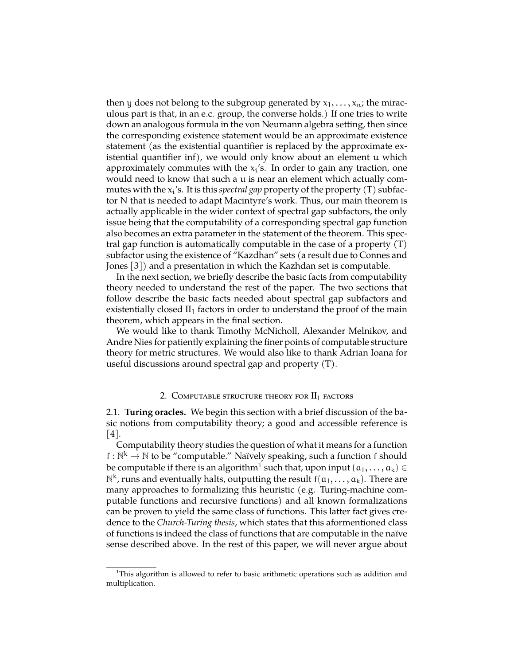then y does not belong to the subgroup generated by  $x_1, \ldots, x_n$ ; the miraculous part is that, in an e.c. group, the converse holds.) If one tries to write down an analogous formula in the von Neumann algebra setting, then since the corresponding existence statement would be an approximate existence statement (as the existential quantifier is replaced by the approximate existential quantifier inf), we would only know about an element u which approximately commutes with the  $x_i$ 's. In order to gain any traction, one would need to know that such a u is near an element which actually commutes with the  $x_i$ 's. It is this *spectral gap* property of the property  $(T)$  subfactor N that is needed to adapt Macintyre's work. Thus, our main theorem is actually applicable in the wider context of spectral gap subfactors, the only issue being that the computability of a corresponding spectral gap function also becomes an extra parameter in the statement of the theorem. This spectral gap function is automatically computable in the case of a property (T) subfactor using the existence of "Kazdhan" sets (a result due to Connes and Jones [\[3\]](#page-9-1)) and a presentation in which the Kazhdan set is computable.

In the next section, we briefly describe the basic facts from computability theory needed to understand the rest of the paper. The two sections that follow describe the basic facts needed about spectral gap subfactors and existentially closed  $II_1$  factors in order to understand the proof of the main theorem, which appears in the final section.

We would like to thank Timothy McNicholl, Alexander Melnikov, and Andre Nies for patiently explaining the finer points of computable structure theory for metric structures. We would also like to thank Adrian Ioana for useful discussions around spectral gap and property (T).

#### 2. COMPUTABLE STRUCTURE THEORY FOR  $II_1$  factors

2.1. **Turing oracles.** We begin this section with a brief discussion of the basic notions from computability theory; a good and accessible reference is [\[4\]](#page-9-2).

Computability theory studies the question of what it means for a function f :  $\mathbb{N}^k \to \mathbb{N}$  to be "computable." Naïvely speaking, such a function f should be computable if there is an algorithm $^1$  $^1$  such that, upon input  $(\mathfrak{a}_1,\ldots,\mathfrak{a}_\mathsf{k})\in$  $\mathbb{N}^k$ , runs and eventually halts, outputting the result  $f(a_1, \ldots, a_k)$ . There are many approaches to formalizing this heuristic (e.g. Turing-machine computable functions and recursive functions) and all known formalizations can be proven to yield the same class of functions. This latter fact gives credence to the *Church-Turing thesis*, which states that this aformentioned class of functions is indeed the class of functions that are computable in the naïve sense described above. In the rest of this paper, we will never argue about

<span id="page-2-0"></span><sup>1</sup>This algorithm is allowed to refer to basic arithmetic operations such as addition and multiplication.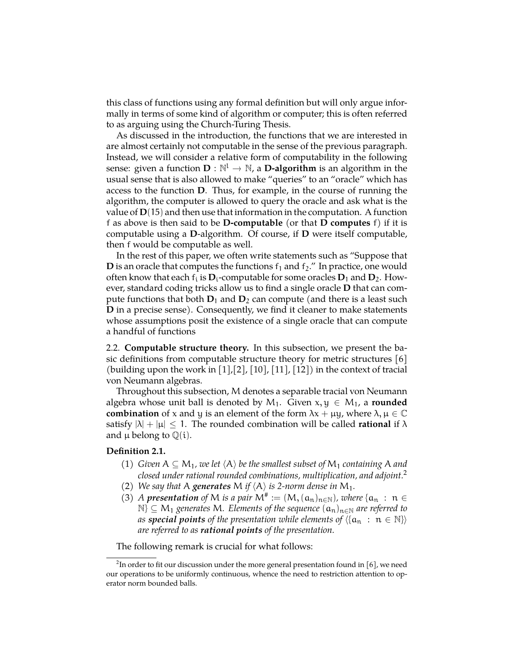this class of functions using any formal definition but will only argue informally in terms of some kind of algorithm or computer; this is often referred to as arguing using the Church-Turing Thesis.

As discussed in the introduction, the functions that we are interested in are almost certainly not computable in the sense of the previous paragraph. Instead, we will consider a relative form of computability in the following sense: given a function  $\mathbf{D}: \mathbb{N}^{\mathsf{L}} \to \mathbb{N}$ , a **D-algorithm** is an algorithm in the usual sense that is also allowed to make "queries" to an "oracle" which has access to the function **D**. Thus, for example, in the course of running the algorithm, the computer is allowed to query the oracle and ask what is the value of **D**(15) and then use that information in the computation. A function f as above is then said to be **D-computable** (or that **D computes** f) if it is computable using a **D**-algorithm. Of course, if **D** were itself computable, then f would be computable as well.

In the rest of this paper, we often write statements such as "Suppose that **D** is an oracle that computes the functions  $f_1$  and  $f_2$ ." In practice, one would often know that each  $f_i$  is  $D_i$ -computable for some oracles  $D_1$  and  $D_2$ . However, standard coding tricks allow us to find a single oracle **D** that can compute functions that both  $D_1$  and  $D_2$  can compute (and there is a least such **D** in a precise sense). Consequently, we find it cleaner to make statements whose assumptions posit the existence of a single oracle that can compute a handful of functions

2.2. **Computable structure theory.** In this subsection, we present the basic definitions from computable structure theory for metric structures [\[6\]](#page-9-3) (building upon the work in  $\lceil 1 \rceil$ ,  $\lceil 2 \rceil$ ,  $\lceil 10 \rceil$ ,  $\lceil 11 \rceil$ ,  $\lceil 12 \rceil$ ) in the context of tracial von Neumann algebras.

Throughout this subsection, M denotes a separable tracial von Neumann algebra whose unit ball is denoted by  $M_1$ . Given  $x, y \in M_1$ , a **rounded combination** of x and y is an element of the form  $\lambda x + \mu y$ , where  $\lambda, \mu \in \mathbb{C}$ satisfy  $|\lambda| + |\mu| \le 1$ . The rounded combination will be called **rational** if  $\lambda$ and  $\mu$  belong to  $\mathbb{Q}(i)$ .

## **Definition 2.1.**

- (1) *Given*  $A \subseteq M_1$ *, we let*  $\langle A \rangle$  *be the smallest subset of*  $M_1$  *containing* A *and closed under rational rounded combinations, multiplication, and adjoint.*[2](#page-3-0)
- (2) *We say that* A *generates* M *if*  $\langle A \rangle$  *is 2-norm dense in* M<sub>1</sub>.
- (3) *A presentation of* M *is a pair*  $M^{\#} := (M, (a_n)_{n \in \mathbb{N}})$ *, where*  $\{a_n : n \in \mathbb{N}\}$ N} ⊆ M<sup>1</sup> *generates* M*. Elements of the sequence* (an)n∈<sup>N</sup> *are referred to as special points of the presentation while elements of*  $\langle \{a_n : n \in \mathbb{N}\}\rangle$ *are referred to as rational points of the presentation.*

The following remark is crucial for what follows:

<span id="page-3-0"></span> $^2$ In order to fit our discussion under the more general presentation found in [\[6\]](#page-9-3), we need our operations to be uniformly continuous, whence the need to restriction attention to operator norm bounded balls.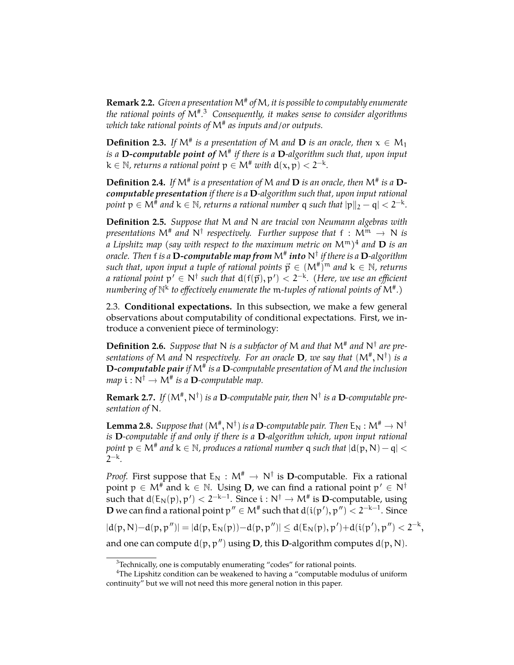**Remark 2.2.** *Given a presentation*M# *of*M*, it is possible to computably enumerate the rational points of* M# *.* [3](#page-4-0) *Consequently, it makes sense to consider algorithms which take rational points of* M# *as inputs and/or outputs.*

**Definition 2.3.** If  $M^*$  is a presentation of M and **D** is an oracle, then  $x \in M_1$ *is a* **D***-computable point of* M# *if there is a* **D***-algorithm such that, upon input*  $k \in \mathbb{N}$ , returns a rational point  $p \in M^{\#}$  with  $d(x, p) < 2^{-k}$ .

**Definition 2.4.** If  $M^*$  is a presentation of M and **D** is an oracle, then  $M^*$  is a **D***computable presentation if there is a* **D***-algorithm such that, upon input rational*  $point \ p \in \mathsf{M}^{\#}$  and  $\mathsf{k} \in \mathbb{N}$ , returns a rational number  $\mathsf{q}$  such that  $|\mathsf{p} \|_2 - \mathsf{q} | < 2^{-\mathsf{k}}$ .

**Definition 2.5.** *Suppose that* M *and* N *are tracial von Neumann algebras with presentations*  $M^*$  *and*  $N^{\dagger}$  *respectively. Further suppose that*  $f : M^m \to N$  *is*<br>*respectively and*  $D$  *is an anithermodel to the manimum and is an AI*<sup>m</sup>)<sup>4</sup> and  $D$  *is an a Lipshitz map (say with respect to the maximum metric on* Mm*)* [4](#page-4-1) *and* **D** *is an oracle. Then* f *is a* **D***-computable map from* M# *into* N† *if there is a* **D***-algorithm* such that, upon input a tuple of rational points  $\vec{p} \in (M^{\#})^m$  and  $k \in \mathbb{N}$ , returns *a rational point*  $p' \in N^{\dagger}$  *such that*  $d(f(\vec{p}), p') < 2^{-k}$ *. (Here, we use an efficient numbering of* N k *to effectively enumerate the* m*-tuples of rational points of* M# *.)*

2.3. **Conditional expectations.** In this subsection, we make a few general observations about computability of conditional expectations. First, we introduce a convenient piece of terminology:

**Definition 2.6.** Suppose that N is a subfactor of M and that  $M^*$  and  $N^{\dagger}$  are pre*sentations of* M *and* N *respectively. For an oracle* **D***, we say that* (M# , N† ) *is a* **D***-computable pair if* M# *is a* **D***-computable presentation of* M *and the inclusion*  $map \ i : N^{\dagger} \to M^{\#}$  is a **D**-computable map.

**Remark 2.7.** If  $(M^{\#}, N^{\dagger})$  is a **D**-computable pair, then  $N^{\dagger}$  is a **D**-computable pre*sentation of* N*.*

**Lemma 2.8.** *Suppose that*  $(M^{\#}, N^{\dagger})$  *is a* **D***-computable pair. Then*  $E_N : M^{\#} \to N^{\dagger}$ <br>*is* **D** *semunitable if and only if them is a* **D** *slocatibus which, were juned astignal is* **D***-computable if and only if there is a* **D***-algorithm which, upon input rational point* p ∈ M# *and* k ∈ N*, produces a rational number* q *such that* |d(p, N) − q| < 2<sup>−k</sup>.

*Proof.* First suppose that  $E_N : M^* \to N^{\dagger}$  is **D**-computable. Fix a rational point  $p \in M^{\#}$  and  $k \in \mathbb{N}$ . Using **D**, we can find a rational point  $p' \in N^{\dagger}$ such that  $d(E_N(p), p') < 2^{-k-1}$ . Since  $i : N^{\dagger} \to M^{\#}$  is **D**-computable, using **D** we can find a rational point  $p'' \in M^{\#}$  such that  $d(i(p'), p'') < 2^{-k-1}$ . Since

 $|d(p, N)-d(p, p'')| = |d(p, E_N(p))-d(p, p'')| \leq d(E_N(p), p') + d(i(p'), p'') < 2^{-k},$ 

and one can compute  $d(p, p'')$  using **D**, this **D**-algorithm computes  $d(p, N)$ .

<span id="page-4-1"></span><span id="page-4-0"></span> $3$ Technically, one is computably enumerating "codes" for rational points.

<sup>4</sup>The Lipshitz condition can be weakened to having a "computable modulus of uniform continuity" but we will not need this more general notion in this paper.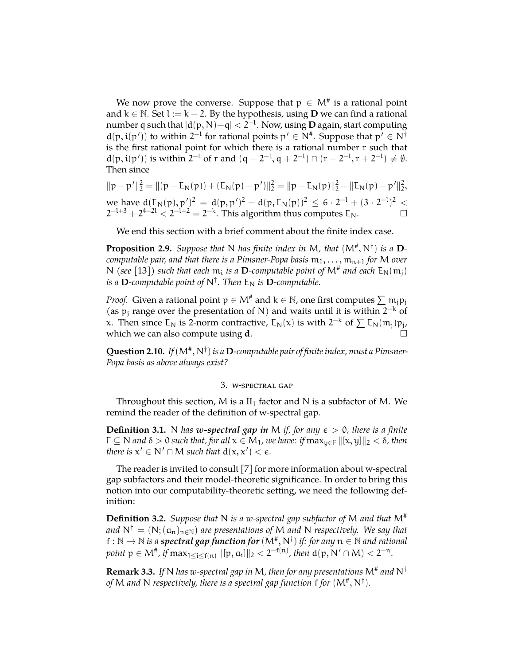We now prove the converse. Suppose that  $p \in M^\#$  is a rational point and  $k \in \mathbb{N}$ . Set l := k − 2. By the hypothesis, using **D** we can find a rational number q such that |d(p, N)−q| < 2−<sup>l</sup> . Now, using **D** again, start computing  $d(p, i(p'))$  to within  $2^{-l}$  for rational points  $p' \in N^{\#}$ . Suppose that  $p' \in N^{\dag}$ is the first rational point for which there is a rational number r such that  $d(p, i(p'))$  is within  $2^{-l}$  of r and  $(q - 2^{-l}, q + 2^{-l}) \cap (r - 2^{-l}, r + 2^{-l}) \neq \emptyset$ . Then since

$$
||p - p'||_2^2 = ||(p - E_N(p)) + (E_N(p) - p')||_2^2 = ||p - E_N(p)||_2^2 + ||E_N(p) - p'||_2^2,
$$
  
we have  $d(E_N(p), p')^2 = d(p, p')^2 - d(p, E_N(p))^2 \le 6 \cdot 2^{-1} + (3 \cdot 2^{-1})^2 < 2^{-1+3} + 2^{4-21} < 2^{-1+2} = 2^{-k}.$  This algorithm thus computes  $E_N$ .

We end this section with a brief comment about the finite index case.

**Proposition 2.9.** Suppose that N has finite index in M, that  $(M^*, N^{\dagger})$  is a D*computable pair, and that there is a Pimsner-Popa basis*  $m_1, \ldots, m_{n+1}$  *for* M *over* N (see [\[13\]](#page-9-9)) such that each  $m_i$  is a **D**-computable point of  $M^{\#}$  and each  $E_N(m_j)$ *is a*  $\mathbf{D}$ *-computable point of*  $\mathsf{N}^{\dagger}$ *. Then*  $\mathsf{E}_{\mathsf{N}}$  *is*  $\mathbf{D}$ *-computable.* 

*Proof.* Given a rational point  $p \in M^*$  and  $k \in \mathbb{N}$ , one first computes  $\sum m_i p_i$ (as  $p_j$  range over the presentation of N) and waits until it is within  $2^{-k}$  of x. Then since  $E_N$  is 2-norm contractive,  $E_N(x)$  is with  $2^{-k}$  of  $\sum E_N(m_j)p_j$ , which we can also compute using **d**.

**Question 2.10.** If  $(M^{\#}, N^{\dagger})$  is a **D**-computable pair of finite index, must a Pimsner-*Popa basis as above always exist?*

### 3. w-spectral gap

Throughout this section, M is a  $II_1$  factor and N is a subfactor of M. We remind the reader of the definition of w-spectral gap.

**Definition 3.1.** N *has w*-spectral gap in M *if, for any*  $\epsilon > 0$ *, there is a finite*  $F \subseteq N$  and  $\delta > 0$  such that, for all  $x \in M_1$ , we have: if  $\max_{u \in F} ||[x, y]||_2 < \delta$ , then *there is*  $x' \in N' \cap M$  *such that*  $d(x, x') < \epsilon$ *.* 

The reader is invited to consult [\[7\]](#page-9-10) for more information about w-spectral gap subfactors and their model-theoretic significance. In order to bring this notion into our computability-theoretic setting, we need the following definition:

**Definition 3.2.** *Suppose that* N *is a w-spectral gap subfactor of* M *and that* M# *and*  $N^{\dagger} = (N; (a_n)_{n \in \mathbb{N}})$  *are presentations of* M *and* N *respectively. We say that* f :  $\mathbb{N} \to \mathbb{N}$  *is a spectral gap function for*  $(\mathbb{M}^*, \mathbb{N}^+)$  *if: for any*  $\mathbb{n} \in \mathbb{N}$  *and rational*  $point \; \mathfrak{p} \in \mathsf{M}^{\#}$ , if  $\max_{1 \leq i \leq f(n)} \|[p, a_i]\|_2 < 2^{-f(n)}$ , then  $d(p, N' \cap M) < 2^{-n}$ .

**Remark 3.3.** *If* N *has w-spectral gap in* M*, then for any presentations* M# *and* N† of M and N respectively, there is a spectral gap function  $f$  for  $(M^\# , N^\dagger).$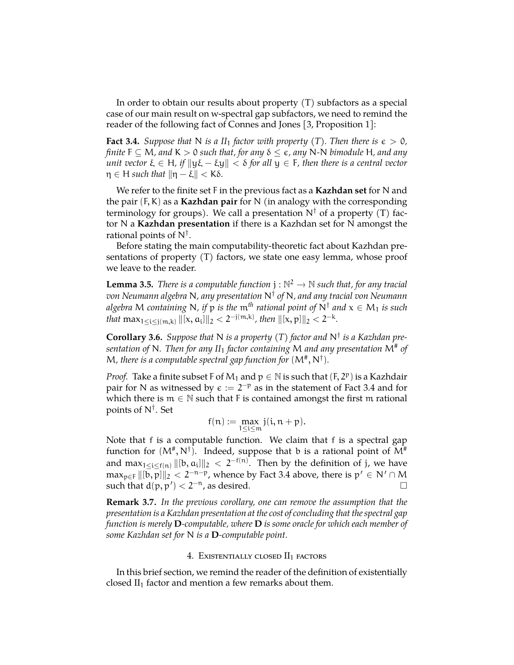In order to obtain our results about property (T) subfactors as a special case of our main result on w-spectral gap subfactors, we need to remind the reader of the following fact of Connes and Jones [\[3,](#page-9-1) Proposition 1]:

<span id="page-6-0"></span>**Fact 3.4.** *Suppose that* N *is a II*<sub>1</sub> *factor with property* (T). *Then there is*  $\epsilon > 0$ *, finite*  $F \subseteq M$ *, and*  $K > 0$  *such that, for any*  $\delta \leq \epsilon$ *, any* N-N *bimodule* H*, and any unit vector*  $\xi \in H$ *, if*  $\|y\xi - \xi y\| < \delta$  for all  $y \in F$ *, then there is a central vector*  $\eta \in H$  *such that*  $\|\eta - \xi\| < K\delta$ .

We refer to the finite set F in the previous fact as a **Kazhdan set** for N and the pair (F, K) as a **Kazhdan pair** for N (in analogy with the corresponding terminology for groups). We call a presentation  $N^{\dagger}$  of a property (T) factor N a **Kazhdan presentation** if there is a Kazhdan set for N amongst the rational points of  $N^{\dagger}$ .

Before stating the main computability-theoretic fact about Kazhdan presentations of property (T) factors, we state one easy lemma, whose proof we leave to the reader.

**Lemma 3.5.** *There is a computable function*  $j : \mathbb{N}^2 \to \mathbb{N}$  *such that, for any tracial von Neumann algebra* N*, any presentation* N† *of* N*, and any tracial von Neumann algebra* M *containing* N*, if* p *is the* m*th rational point of* N† *and* x ∈ M<sup>1</sup> *is such that*  $\max_{1 \le i \le j(m,k)} ||[x, a_i]||_2 < 2^{-j(m,k)}$ , then  $||[x, p]||_2 < 2^{-k}$ .

**Corollary 3.6.** *Suppose that* N *is a property (T) factor and* N† *is a Kazhdan presentation of* N*. Then for any II*<sup>1</sup> *factor containing* M *and any presentation* M# *of* M, there is a computable spectral gap function for  $(M^*, N^{\dagger})$ .

*Proof.* Take a finite subset F of  $M_1$  and  $p \in \mathbb{N}$  is such that  $(F, 2^p)$  is a Kazhdair pair for N as witnessed by  $\epsilon := 2^{-p}$  as in the statement of Fact [3.4](#page-6-0) and for which there is  $m \in \mathbb{N}$  such that F is contained amongst the first m rational points of N† . Set

$$
f(n):=\max_{1\leq i\leq m}j(i,n+p).
$$

Note that f is a computable function. We claim that f is a spectral gap function for  $(M^*,N^{\dagger})$ . Indeed, suppose that b is a rational point of  $M^{\#}$ and max $_{1\leq i\leq f(n)}$   $\| [b,a_i]\|_2\, <\, 2^{-f(n)}.$  Then by the definition of j, we have  $\max_{p \in F} \|[b, p]\|_2 < 2^{-n-p}$ , whence by Fact [3.4](#page-6-0) above, there is  $p' \in N' \cap M$ such that  $d(p, p') < 2^{-n}$ , as desired.  $\square$ 

**Remark 3.7.** *In the previous corollary, one can remove the assumption that the presentation is a Kazhdan presentation at the cost of concluding that the spectral gap function is merely* **D***-computable, where* **D** *is some oracle for which each member of some Kazhdan set for* N *is a* **D***-computable point.*

#### 4. EXISTENTIALLY CLOSED II<sub>1</sub> FACTORS

In this brief section, we remind the reader of the definition of existentially closed  $II_1$  factor and mention a few remarks about them.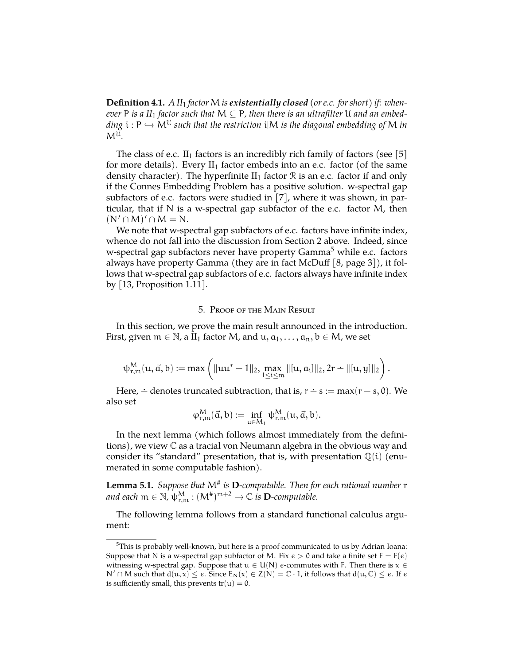**Definition 4.1.** *A II*<sup>1</sup> *factor* M *is existentially closed (or e.c. for short) if: whenever* **P** is a II<sub>1</sub> factor such that  $M \subseteq P$ , then there is an ultrafilter U and an embed*ding*  $i : P \hookrightarrow M^U$  *such that the restriction*  $i|M$  *is the diagonal embedding of* M *in*  $M^{\mathcal{U}}$ .

The class of e.c.  $II_1$  factors is an incredibly rich family of factors (see [\[5\]](#page-9-11) for more details). Every  $II_1$  factor embeds into an e.c. factor (of the same density character). The hyperfinite  $II_1$  factor  $\Re$  is an e.c. factor if and only if the Connes Embedding Problem has a positive solution. w-spectral gap subfactors of e.c. factors were studied in [\[7\]](#page-9-10), where it was shown, in particular, that if N is a w-spectral gap subfactor of the e.c. factor M, then  $(N' \cap M)' \cap M = N.$ 

We note that w-spectral gap subfactors of e.c. factors have infinite index, whence do not fall into the discussion from Section 2 above. Indeed, since w-spectral gap subfactors never have property Gamma<sup>[5](#page-7-0)</sup> while e.c. factors always have property Gamma (they are in fact McDuff [\[8,](#page-9-12) page 3]), it follows that w-spectral gap subfactors of e.c. factors always have infinite index by [\[13,](#page-9-9) Proposition 1.11].

## 5. Proof of the Main Result

In this section, we prove the main result announced in the introduction. First, given  $m \in \mathbb{N}$ , a II<sub>1</sub> factor M, and  $u, \alpha_1, \dots, \alpha_n, b \in M$ , we set

$$
\psi^M_{r,m}(u,\vec{\alpha},b):=max\left(\|uu^*-1\|_2,\max_{1\leq i\leq m}\|[u,a_i]\|_2,2r-\|[u,y]\|_2\right).
$$

Here,  $\div$  denotes truncated subtraction, that is,  $r \div s := max(r - s, 0)$ . We also set

$$
\phi^M_{r,\mathfrak{m}}(\vec{\mathfrak{a}},b):=\inf_{u\in M_1}\psi^M_{r,\mathfrak{m}}(u,\vec{\mathfrak{a}},b).
$$

In the next lemma (which follows almost immediately from the definitions), we view C as a tracial von Neumann algebra in the obvious way and consider its "standard" presentation, that is, with presentation  $\mathbb{Q}(i)$  (enumerated in some computable fashion).

<span id="page-7-1"></span>**Lemma 5.1.** *Suppose that* M# *is* **D***-computable. Then for each rational number* r  $\mathcal{A}$  *and each*  $m \in \mathbb{N}$ ,  $\psi^M_{r,m} : (M^*)^{m+2} \to \mathbb{C}$  *is*  $\mathbf{D}$ *-computable.* 

The following lemma follows from a standard functional calculus argument:

<span id="page-7-0"></span> $5$ This is probably well-known, but here is a proof communicated to us by Adrian Ioana: Suppose that N is a w-spectral gap subfactor of M. Fix  $\epsilon > 0$  and take a finite set  $F = F(\epsilon)$ witnessing w-spectral gap. Suppose that  $u \in U(N)$  e-commutes with F. Then there is  $x \in$  $N' \cap M$  such that  $d(u, x) \le \varepsilon$ . Since  $E_N(x) \in Z(N) = \mathbb{C} \cdot 1$ , it follows that  $d(u, \mathbb{C}) \le \varepsilon$ . If  $\varepsilon$ is sufficiently small, this prevents  $tr(u) = 0$ .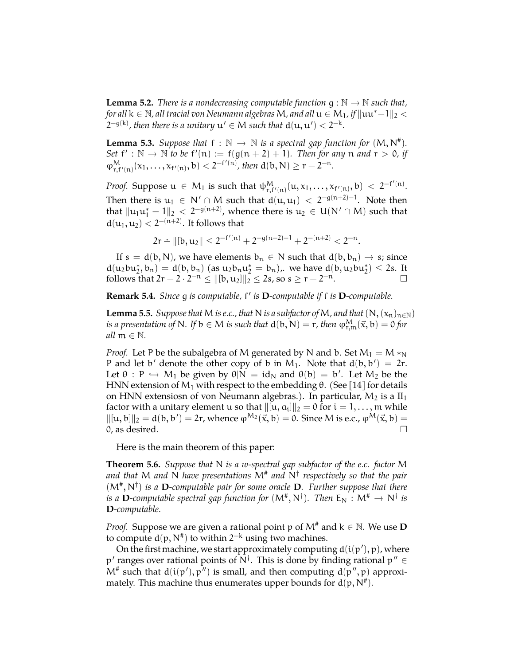**Lemma 5.2.** *There is a nondecreasing computable function*  $g : \mathbb{N} \to \mathbb{N}$  *such that, for all*  $k \in \mathbb{N}$ *, all tracial von Neumann algebras* M, and all  $u \in M_1$ , if  $\|uu^* - 1\|_2 <$  $2^{-g(k)}$ , then there is a unitary  $u' \in M$  such that  $d(u, u') < 2^{-k}$ .

<span id="page-8-0"></span>**Lemma 5.3.** *Suppose that*  $f : \mathbb{N} \to \mathbb{N}$  *is a spectral gap function for*  $(M, N^{\#})$ . *Set*  $f' : \mathbb{N} \to \mathbb{N}$  *to be*  $f'(n) := f(g(n+2) + 1)$ *. Then for any* n *and*  $r > 0$ *, if*  $\varphi^M_{r,f'(n)}(x_1,\ldots,x_{f'(n)},b) < 2^{-f'(n)}$ , then  $d(b,N) \geq r-2^{-n}$ .

*Proof.* Suppose  $u \in M_1$  is such that  $\psi^M_{r,f'(n)}(u,x_1,\ldots,x_{f'(n)},b) < 2^{-f'(n)}$ . Then there is  $u_1 \in N' \cap M$  such that  $d(u, u_1) < 2^{-g(n+2)-1}$ . Note then that  $\|u_1u_1^*-1\|_2 < 2^{-g(n+2)}$ , whence there is  $u_2 \in U(N' \cap M)$  such that  $d(u_1, u_2) < 2^{-(n+2)}$ . It follows that

$$
2r - ||[b, u_2|| \leq 2^{-f'(n)} + 2^{-g(n+2)-1} + 2^{-(n+2)} < 2^{-n}.
$$

If  $s = d(b, N)$ , we have elements  $b_n \in N$  such that  $d(b, b_n) \rightarrow s$ ; since  $d(u_2bu_2^*, b_n) = d(b, b_n)$  (as  $u_2b_nu_2^* = b_n$ ), we have  $d(b, u_2bu_2^*) \leq 2s$ . It follows that  $2r - 2 \cdot 2^{-n} \le ||[b, u_2]||_2^2 \le 2s$ , so  $s \ge r - 2^{-n}$ .  $\Box$ 

**Remark 5.4.** *Since* g *is computable,* f 0 *is* **D***-computable if* f *is* **D***-computable.*

<span id="page-8-1"></span>**Lemma 5.5.** *Suppose that* M *is e.c., that* N *is a subfactor of* M, and *that*  $(N, (x_n)_{n \in \mathbb{N}})$ *is a presentation of* N. If  $b \in M$  *is such that*  $d(b, N) = r$ , *then*  $\phi_{r,m}^M(\vec{x}, b) = 0$  for *all*  $m \in \mathbb{N}$ *.* 

*Proof.* Let P be the subalgebra of M generated by N and b. Set  $M_1 = M *_{N}$ P and let b' denote the other copy of b in M<sub>1</sub>. Note that  $d(b, b') = 2r$ . Let  $\theta$  : P  $\hookrightarrow$  M<sub>1</sub> be given by  $\theta|\mathbf{N} = id_{\mathbf{N}}$  and  $\theta(b) = b'$ . Let  $M_2$  be the HNN extension of  $M_1$  with respect to the embedding  $\theta$ . (See [\[14\]](#page-9-13) for details on HNN extensiosn of von Neumann algebras.). In particular,  $M_2$  is a  $II_1$ factor with a unitary element  $\mathfrak u$  so that  $\|[{\mathfrak u},{\mathfrak a}_{\mathfrak i}]\|_2 = 0$  for  ${\mathfrak i} = 1,\ldots,$   ${\mathfrak m}$  while  $\|\[\mathfrak{u},\mathfrak{b}]\|_2 = \mathfrak{d}(\mathfrak{b},\mathfrak{b}') = 2r$ , whence  $\varphi^{\mathsf{M}_2}(\vec{x},\mathfrak{b}) = 0$ . Since M is e.c.,  $\varphi^{\mathsf{M}}(\vec{x},\mathfrak{b}) = 0$  $0,$  as desired.

Here is the main theorem of this paper:

**Theorem 5.6.** *Suppose that* N *is a w-spectral gap subfactor of the e.c. factor* M *and that* M *and* N *have presentations* M# *and* N† *respectively so that the pair* (M# , N† ) *is a* **D***-computable pair for some oracle* **D***. Further suppose that there is a* **D**-computable spectral gap function for  $(M^*, N^{\dagger})$ . Then  $E_N : M^* \to N^{\dagger}$  *is*<br>**D** sequentable **D***-computable.*

*Proof.* Suppose we are given a rational point p of  $M^*$  and  $k \in \mathbb{N}$ . We use **D** to compute  $d(p, N^{\#})$  to within  $2^{-k}$  using two machines.

On the first machine, we start approximately computing  $\text{d}(\mathfrak{i}(\mathfrak{p}'),\mathfrak{p})$ , where p' ranges over rational points of  $N^{\dagger}$ . This is done by finding rational p"  $\in$  $M^*$  such that  $d(i(p'), p'')$  is small, and then computing  $d(p'', p)$  approximately. This machine thus enumerates upper bounds for  $d(p,N^{\#})$ .